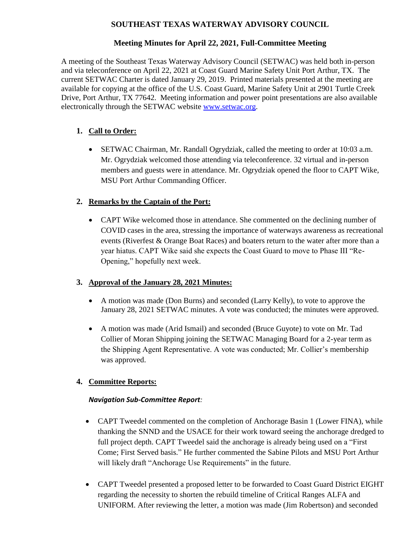# **SOUTHEAST TEXAS WATERWAY ADVISORY COUNCIL**

# **Meeting Minutes for April 22, 2021, Full-Committee Meeting**

A meeting of the Southeast Texas Waterway Advisory Council (SETWAC) was held both in-person and via teleconference on April 22, 2021 at Coast Guard Marine Safety Unit Port Arthur, TX. The current SETWAC Charter is dated January 29, 2019. Printed materials presented at the meeting are available for copying at the office of the U.S. Coast Guard, Marine Safety Unit at 2901 Turtle Creek Drive, Port Arthur, TX 77642. Meeting information and power point presentations are also available electronically through the SETWAC website [www.setwac.org.](http://www.setwac.org/)

# **1. Call to Order:**

 SETWAC Chairman, Mr. Randall Ogrydziak, called the meeting to order at 10:03 a.m. Mr. Ogrydziak welcomed those attending via teleconference. 32 virtual and in-person members and guests were in attendance. Mr. Ogrydziak opened the floor to CAPT Wike, MSU Port Arthur Commanding Officer.

# **2. Remarks by the Captain of the Port:**

 CAPT Wike welcomed those in attendance. She commented on the declining number of COVID cases in the area, stressing the importance of waterways awareness as recreational events (Riverfest & Orange Boat Races) and boaters return to the water after more than a year hiatus. CAPT Wike said she expects the Coast Guard to move to Phase III "Re-Opening," hopefully next week.

## **3. Approval of the January 28, 2021 Minutes:**

- A motion was made (Don Burns) and seconded (Larry Kelly), to vote to approve the January 28, 2021 SETWAC minutes. A vote was conducted; the minutes were approved.
- A motion was made (Arid Ismail) and seconded (Bruce Guyote) to vote on Mr. Tad Collier of Moran Shipping joining the SETWAC Managing Board for a 2-year term as the Shipping Agent Representative. A vote was conducted; Mr. Collier's membership was approved.

## **4. Committee Reports:**

## *Navigation Sub-Committee Report:*

- CAPT Tweedel commented on the completion of Anchorage Basin 1 (Lower FINA), while thanking the SNND and the USACE for their work toward seeing the anchorage dredged to full project depth. CAPT Tweedel said the anchorage is already being used on a "First Come; First Served basis." He further commented the Sabine Pilots and MSU Port Arthur will likely draft "Anchorage Use Requirements" in the future.
- CAPT Tweedel presented a proposed letter to be forwarded to Coast Guard District EIGHT regarding the necessity to shorten the rebuild timeline of Critical Ranges ALFA and UNIFORM. After reviewing the letter, a motion was made (Jim Robertson) and seconded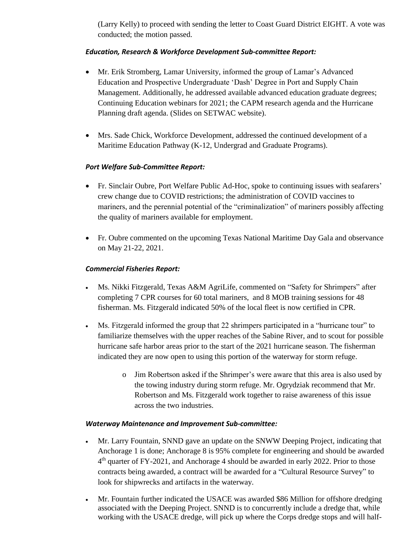(Larry Kelly) to proceed with sending the letter to Coast Guard District EIGHT. A vote was conducted; the motion passed.

## *Education, Research & Workforce Development Sub-committee Report:*

- Mr. Erik Stromberg, Lamar University, informed the group of Lamar's Advanced Education and Prospective Undergraduate 'Dash' Degree in Port and Supply Chain Management. Additionally, he addressed available advanced education graduate degrees; Continuing Education webinars for 2021; the CAPM research agenda and the Hurricane Planning draft agenda. (Slides on SETWAC website).
- Mrs. Sade Chick, Workforce Development, addressed the continued development of a Maritime Education Pathway (K-12, Undergrad and Graduate Programs).

### *Port Welfare Sub-Committee Report:*

- Fr. Sinclair Oubre, Port Welfare Public Ad-Hoc, spoke to continuing issues with seafarers' crew change due to COVID restrictions; the administration of COVID vaccines to mariners, and the perennial potential of the "criminalization" of mariners possibly affecting the quality of mariners available for employment.
- Fr. Oubre commented on the upcoming Texas National Maritime Day Gala and observance on May 21-22, 2021.

### *Commercial Fisheries Report:*

- Ms. Nikki Fitzgerald, Texas A&M AgriLife, commented on "Safety for Shrimpers" after completing 7 CPR courses for 60 total mariners, and 8 MOB training sessions for 48 fisherman. Ms. Fitzgerald indicated 50% of the local fleet is now certified in CPR.
- Ms. Fitzgerald informed the group that 22 shrimpers participated in a "hurricane tour" to familiarize themselves with the upper reaches of the Sabine River, and to scout for possible hurricane safe harbor areas prior to the start of the 2021 hurricane season. The fisherman indicated they are now open to using this portion of the waterway for storm refuge.
	- o Jim Robertson asked if the Shrimper's were aware that this area is also used by the towing industry during storm refuge. Mr. Ogrydziak recommend that Mr. Robertson and Ms. Fitzgerald work together to raise awareness of this issue across the two industries.

### *Waterway Maintenance and Improvement Sub-committee:*

- Mr. Larry Fountain, SNND gave an update on the SNWW Deeping Project, indicating that Anchorage 1 is done; Anchorage 8 is 95% complete for engineering and should be awarded 4<sup>th</sup> quarter of FY-2021, and Anchorage 4 should be awarded in early 2022. Prior to those contracts being awarded, a contract will be awarded for a "Cultural Resource Survey" to look for shipwrecks and artifacts in the waterway.
- Mr. Fountain further indicated the USACE was awarded \$86 Million for offshore dredging associated with the Deeping Project. SNND is to concurrently include a dredge that, while working with the USACE dredge, will pick up where the Corps dredge stops and will half-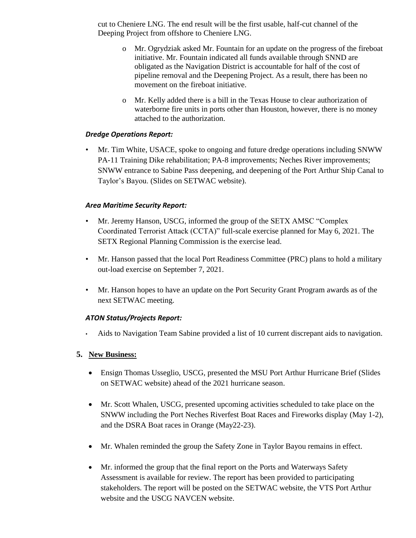cut to Cheniere LNG. The end result will be the first usable, half-cut channel of the Deeping Project from offshore to Cheniere LNG.

- o Mr. Ogrydziak asked Mr. Fountain for an update on the progress of the fireboat initiative. Mr. Fountain indicated all funds available through SNND are obligated as the Navigation District is accountable for half of the cost of pipeline removal and the Deepening Project. As a result, there has been no movement on the fireboat initiative.
- o Mr. Kelly added there is a bill in the Texas House to clear authorization of waterborne fire units in ports other than Houston, however, there is no money attached to the authorization.

### *Dredge Operations Report:*

• Mr. Tim White, USACE, spoke to ongoing and future dredge operations including SNWW PA-11 Training Dike rehabilitation; PA-8 improvements; Neches River improvements; SNWW entrance to Sabine Pass deepening, and deepening of the Port Arthur Ship Canal to Taylor's Bayou. (Slides on SETWAC website).

#### *Area Maritime Security Report:*

- Mr. Jeremy Hanson, USCG, informed the group of the SETX AMSC "Complex Coordinated Terrorist Attack (CCTA)" full-scale exercise planned for May 6, 2021. The SETX Regional Planning Commission is the exercise lead.
- Mr. Hanson passed that the local Port Readiness Committee (PRC) plans to hold a military out-load exercise on September 7, 2021.
- Mr. Hanson hopes to have an update on the Port Security Grant Program awards as of the next SETWAC meeting.

### *ATON Status/Projects Report:*

• Aids to Navigation Team Sabine provided a list of 10 current discrepant aids to navigation.

### **5. New Business:**

- Ensign Thomas Usseglio, USCG, presented the MSU Port Arthur Hurricane Brief (Slides on SETWAC website) ahead of the 2021 hurricane season.
- Mr. Scott Whalen, USCG, presented upcoming activities scheduled to take place on the SNWW including the Port Neches Riverfest Boat Races and Fireworks display (May 1-2), and the DSRA Boat races in Orange (May22-23).
- Mr. Whalen reminded the group the Safety Zone in Taylor Bayou remains in effect.
- Mr. informed the group that the final report on the Ports and Waterways Safety Assessment is available for review. The report has been provided to participating stakeholders. The report will be posted on the SETWAC website, the VTS Port Arthur website and the USCG NAVCEN website.